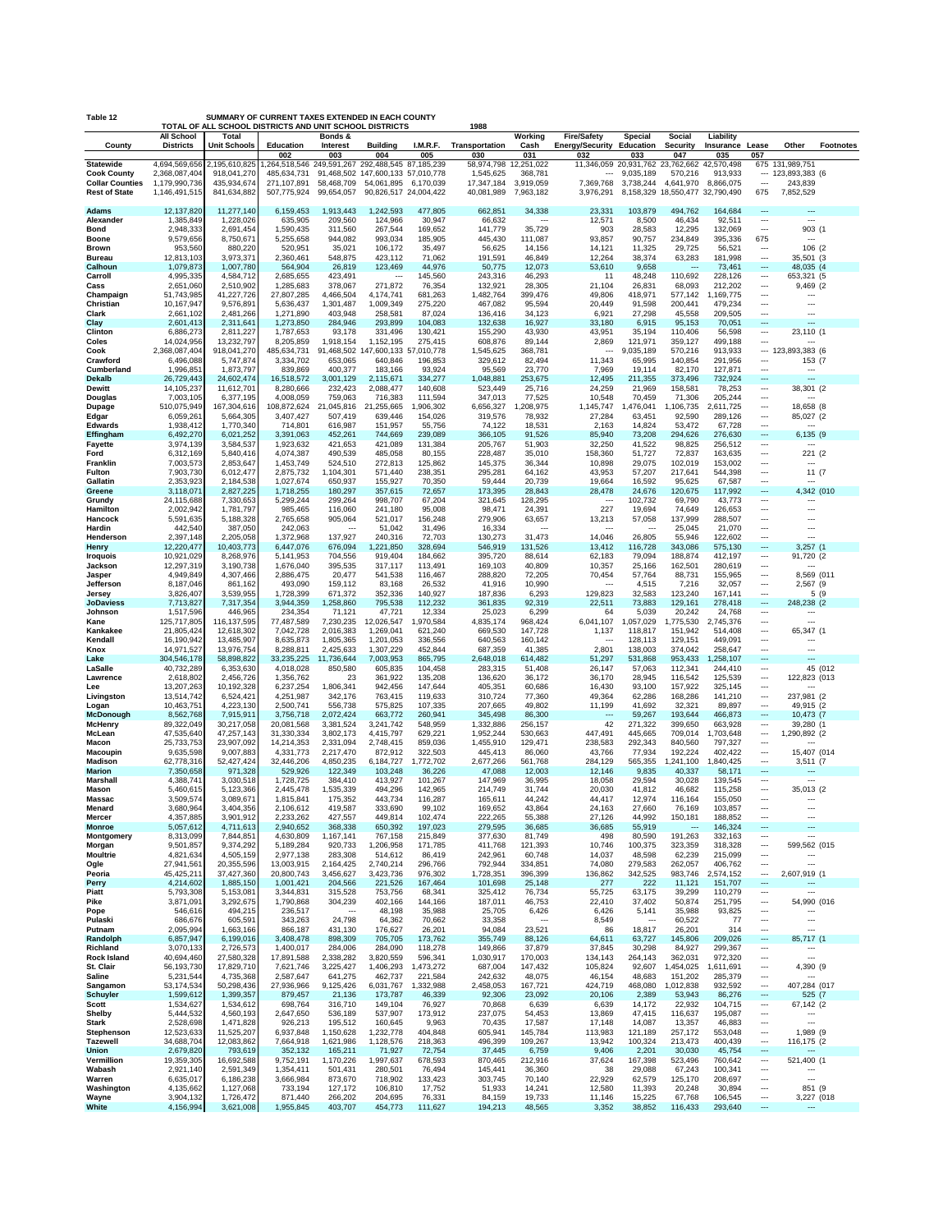| Table 12                                                             | SUMMARY OF CURRENT TAXES EXTENDED IN EACH COUNTY<br>TOTAL OF ALL SCHOOL DISTRICTS AND UNIT SCHOOL DISTRICTS<br>1988 |                                           |                                                  |                                     |                                                                                    |                      |                                       |                                   |                                                    |                                             |                                               |                        |                                                      |                                            |                  |
|----------------------------------------------------------------------|---------------------------------------------------------------------------------------------------------------------|-------------------------------------------|--------------------------------------------------|-------------------------------------|------------------------------------------------------------------------------------|----------------------|---------------------------------------|-----------------------------------|----------------------------------------------------|---------------------------------------------|-----------------------------------------------|------------------------|------------------------------------------------------|--------------------------------------------|------------------|
|                                                                      | All School                                                                                                          | Total                                     |                                                  | Bonds &                             |                                                                                    |                      |                                       | Working                           | <b>Fire/Safety</b>                                 | Special                                     | Social                                        | Liability              |                                                      |                                            |                  |
| County                                                               | <b>Districts</b>                                                                                                    | <b>Unit Schools</b>                       | Education<br>002                                 | Interest<br>003                     | <b>Building</b><br>004                                                             | I.M.R.F.<br>005      | Transportation<br>030                 | Cash<br>031                       | Energy/Security Education<br>032                   | 033                                         | Security<br>047                               | Insurance Lease<br>035 | 057                                                  | Other                                      | <b>Footnotes</b> |
| Statewide                                                            | 4,694,569,656                                                                                                       | 2,195,610,825                             | 1,264,518,546 249,591,267 292,488,545 87,185,239 |                                     |                                                                                    |                      | 58,974,798 12,251,022                 |                                   |                                                    | 11,346,059 20,931,762 23,762,662 42,570,498 |                                               |                        |                                                      | 675 131,989,751                            |                  |
| <b>Cook County</b><br><b>Collar Counties</b><br><b>Rest of State</b> | 2,368,087,404<br>1,179,990,736<br>1,146,491,515                                                                     | 918,041,270<br>435,934,674<br>841,634,882 | 485,634,731<br>271,107,891<br>507,775,924        | 58,468,709<br>99,654,057            | 91,468,502 147,600,133 57,010,778<br>54,061,895 6,170,039<br>90,826,517 24,004,422 |                      | 1,545,625<br>17,347,184<br>40,081,989 | 368,781<br>3,919,059<br>7,963,182 | $\overline{\phantom{a}}$<br>7,369,768<br>3,976,291 | 9,035,189<br>3,738,244<br>8,158,329         | 570,216<br>4,641,970<br>18,550,477 32,790,490 | 913,933<br>8,866,075   | $\overline{\phantom{a}}$<br>675                      | $- 123,893,383$ (6<br>243,839<br>7,852,529 |                  |
| Adams<br>Alexander                                                   | 12,137,820<br>1,385,849                                                                                             | 11,277,140<br>1,228,026                   | 6,159,453<br>635,905                             | 1,913,443<br>209,560                | 1,242,593<br>124,966                                                               | 477,805<br>30,947    | 662,851<br>66,632                     | 34,338<br>$\sim$                  | 23,331<br>12,571                                   | 103,879<br>8,500                            | 494,762<br>46,434                             | 164,684<br>92,511      | $\overline{\phantom{a}}$<br>$\overline{\phantom{a}}$ | ---<br>$\overline{a}$                      |                  |
| Bond                                                                 | 2,948,333                                                                                                           | 2,691,454                                 | 1,590,435                                        | 311,560                             | 267,544                                                                            | 169,652              | 141,779                               | 35,729                            | 903                                                | 28,583                                      | 12,295                                        | 132,069                | $\sim$                                               | 903 (1                                     |                  |
| Boone<br>Brown                                                       | 9,579,656<br>953,560                                                                                                | 8,750,671<br>880,220                      | 5,255,658<br>520,951                             | 944,082<br>35,021                   | 993,034<br>106,172                                                                 | 185,905<br>35,497    | 445,430<br>56,625                     | 111,087<br>14,156                 | 93,857<br>14,121                                   | 90,757<br>11,325                            | 234,849<br>29,725                             | 395,336<br>56,521      | 675<br>                                              | ---<br>106 (2                              |                  |
| Bureau                                                               | 12,813,103                                                                                                          | 3,973,371                                 | 2,360,461                                        | 548,875                             | 423,112                                                                            | 71,062               | 191,591                               | 46,849                            | 12,264                                             | 38,374                                      | 63,283                                        | 181,998                | $\overline{\phantom{a}}$                             | 35,501 (3                                  |                  |
| Calhoun<br>Carroll                                                   | 1,079,873<br>4,995,335                                                                                              | 1,007,780<br>4,584,712                    | 564,904<br>2,685,655                             | 26,819<br>423,491                   | 123,469<br>$\overline{\phantom{a}}$                                                | 44,976<br>145,560    | 50,775<br>243,316                     | 12,073<br>46,293                  | 53,610<br>11                                       | 9,658<br>48,248                             | $\overline{a}$<br>110,692                     | 73,461<br>228,126      | $\overline{\phantom{a}}$<br>$\overline{\phantom{a}}$ | 48,035 (4<br>653,321 (5                    |                  |
| Cass                                                                 | 2,651,060                                                                                                           | 2,510,902                                 | 1,285,683                                        | 378,067                             | 271,872                                                                            | 76,354               | 132,921                               | 28,305                            | 21,104                                             | 26,831                                      | 68,093                                        | 212,202                | $\overline{\phantom{a}}$                             | 9,469(2)                                   |                  |
| Champaign<br>Christian                                               | 51,743,985<br>10,167,947                                                                                            | 41,227,726<br>9,576,891                   | 27,807,285<br>5,636,437                          | 4,466,504<br>1,301,487              | 4,174,741<br>1,009,349                                                             | 681,263<br>275,220   | 1,482,764<br>467,082                  | 399,476<br>95,594                 | 49,806<br>20,449                                   | 418,971<br>91,598                           | 577,142<br>200,441                            | 1,169,775<br>479,234   | $\overline{\phantom{a}}$<br>                         | ---                                        |                  |
| Clark                                                                | 2,661,102                                                                                                           | 2,481,266                                 | 1,271,890                                        | 403,948                             | 258,581                                                                            | 87,024               | 136,416                               | 34,123                            | 6,921                                              | 27,298                                      | 45,558                                        | 209,505                | $\overline{\phantom{a}}$                             | ---                                        |                  |
| Clay<br>Clinton                                                      | 2,601,413<br>6,886,273                                                                                              | 2,311,641<br>2,811,227                    | 1,273,850<br>1,787,653                           | 284,946<br>93,178                   | 293,899<br>331,496                                                                 | 104,083<br>130,421   | 132,638<br>155,290                    | 16,927<br>43,930                  | 33,180<br>43,951                                   | 6,915<br>35,194                             | 95,153<br>110,406                             | 70,051<br>56,598       | $\overline{\phantom{a}}$<br>$\overline{\phantom{a}}$ | $\overline{a}$<br>23,110 (1                |                  |
| Coles                                                                | 14,024,956                                                                                                          | 13,232,797                                | 8,205,859                                        | 1,918,154                           | 1,152,195                                                                          | 275,415              | 608,876                               | 89,144                            | 2,869                                              | 121,971                                     | 359,127                                       | 499,188                | $\overline{\phantom{a}}$                             | ---                                        |                  |
| Cook<br>Crawford                                                     | 2,368,087,404<br>6,496,088                                                                                          | 918,041,270<br>5,747,874                  | 485,634,731<br>3,334,702                         | 653,065                             | 91,468,502 147,600,133 57,010,778<br>640,846                                       | 196,853              | 1,545,625<br>329,612                  | 368,781<br>82,494                 | $\overline{\phantom{a}}$<br>11,343                 | 9,035,189<br>65,995                         | 570,216<br>140,854                            | 913,933<br>291,956     |                                                      | --- 123,893,383 (6<br>153 (7               |                  |
| Cumberland                                                           | 1,996,851                                                                                                           | 1,873,797                                 | 839,869                                          | 400,377                             | 183,166                                                                            | 93,924               | 95,569                                | 23,770                            | 7,969                                              | 19,114                                      | 82,170                                        | 127,871                | $\overline{\phantom{a}}$                             | ---                                        |                  |
| <b>Dekalb</b><br>Dewitt                                              | 26,729,443<br>14,105,237                                                                                            | 24,602,474<br>11,612,701                  | 16,518,572<br>8,280,666                          | 3,001,129<br>232,423                | 2,115,671<br>2,088,477                                                             | 334,277<br>140,608   | 1,048,881<br>523,449                  | 253,675<br>25,716                 | 12,495<br>24,259                                   | 211,355<br>21,969                           | 373,496<br>158,581                            | 732,924<br>78,253      | $\overline{\phantom{a}}$<br>---                      | $\overline{a}$<br>38,301 (2                |                  |
| Douglas                                                              | 7,003,105                                                                                                           | 6,377,195                                 | 4,008,059                                        | 759,063                             | 716,383                                                                            | 111,594              | 347,013                               | 77,525                            | 10,548                                             | 70,459                                      | 71,306                                        | 205,244                | $\overline{\phantom{a}}$                             | $\overline{a}$                             |                  |
| Dupage<br>Edgar                                                      | 510,075,949<br>6,059,261                                                                                            | 167,304,616<br>5,664,305                  | 108,872,624<br>3,407,427                         | 21,045,816<br>507,419               | 21,255,665<br>639,446                                                              | 1,906,302<br>154,026 | 6,656,327<br>319,576                  | 1,208,975<br>78,932               | 1,145,747<br>27,284                                | 1,476,041<br>63,451                         | 1,106,735<br>92,590                           | 2,611,725<br>289,126   | $\overline{\phantom{a}}$<br>$\overline{\phantom{a}}$ | 18,658 (8<br>85,027 (2                     |                  |
| Edwards                                                              | 1,938,412                                                                                                           | 1,770,340                                 | 714,801                                          | 616,987                             | 151,957                                                                            | 55,756               | 74,122                                | 18,531                            | 2,163                                              | 14,824                                      | 53,472                                        | 67,728                 | $\overline{\phantom{a}}$                             | $\overline{a}$                             |                  |
| Effingham<br>Fayette                                                 | 6,492,270<br>3,974,139                                                                                              | 6,021,252<br>3,584,537                    | 3,391,063<br>1,923,632                           | 452,261<br>421,653                  | 744,669<br>421,089                                                                 | 239,089<br>131,384   | 366,105<br>205,767                    | 91,526<br>51,903                  | 85,940<br>32,250                                   | 73,208<br>41,522                            | 294,626<br>98,825                             | 276,630<br>256,512     | $\overline{\phantom{a}}$<br>                         | 6,135 (9                                   |                  |
| Ford                                                                 | 6,312,169                                                                                                           | 5,840,416                                 | 4,074,387                                        | 490,539                             | 485,058                                                                            | 80,155               | 228,487                               | 35,010                            | 158,360                                            | 51,727                                      | 72,837                                        | 163,635                | $\overline{\phantom{a}}$                             | 221 (2                                     |                  |
| Franklin<br>Fulton                                                   | 7,003,573<br>7,903,730                                                                                              | 2,853,647<br>6,012,477                    | 1,453,749<br>2,875,732                           | 524,510<br>1,104,301                | 272,813<br>571,440                                                                 | 125,862<br>238,351   | 145,375<br>295,281                    | 36,344<br>64,162                  | 10,898<br>43,953                                   | 29,075<br>57,207                            | 102,019<br>217,641                            | 153,002<br>544,398     | ---<br>$\overline{\phantom{a}}$                      | ---<br>11 (7                               |                  |
| Gallatin                                                             | 2,353,923                                                                                                           | 2,184,538                                 | 1,027,674                                        | 650,937                             | 155,927                                                                            | 70,350               | 59,444                                | 20,739                            | 19,664                                             | 16,592                                      | 95,625                                        | 67,587                 | $\overline{\phantom{a}}$                             | $\overline{a}$                             |                  |
| Greene<br>Grundy                                                     | 3,118,071<br>24,115,688                                                                                             | 2,827,225<br>7,330,653                    | 1,718,255<br>5,299,244                           | 180,297<br>299,264                  | 357,615<br>998,707                                                                 | 72,657<br>67,204     | 173,395<br>321,645                    | 28,843<br>128,295                 | 28,478<br>---                                      | 24,676<br>102,732                           | 120,675<br>69,790                             | 117,992<br>43,773      | $\overline{\phantom{a}}$<br>                         | 4,342 (010                                 |                  |
| Hamilton                                                             | 2,002,942                                                                                                           | 1,781,797                                 | 985,465                                          | 116,060                             | 241,180                                                                            | 95,008               | 98,471                                | 24,391                            | 227                                                | 19,694                                      | 74,649                                        | 126,653                | $\overline{\phantom{a}}$                             | ---                                        |                  |
| Hancock<br>Hardin                                                    | 5,591,635<br>442,540                                                                                                | 5,188,328<br>387,050                      | 2,765,658<br>242,063                             | 905,064<br>$\overline{\phantom{a}}$ | 521,017<br>51,042                                                                  | 156,248<br>31,496    | 279,906<br>16,334                     | 63,657<br>$\sim$                  | 13,213<br>---                                      | 57,058<br>$\overline{\phantom{a}}$          | 137,999<br>25,045                             | 288,507<br>21,070      | <br>$\overline{\phantom{a}}$                         | ---<br>---                                 |                  |
| Henderson                                                            | 2,397,148                                                                                                           | 2,205,058                                 | 1,372,968                                        | 137,927                             | 240,316                                                                            | 72,703               | 130,273                               | 31,473                            | 14,046                                             | 26,805                                      | 55,946                                        | 122,602                | $\overline{\phantom{a}}$                             | ---                                        |                  |
| Henry<br><b>Iroquois</b>                                             | 12,220,477<br>10,921,029                                                                                            | 10,403,773<br>8,268,976                   | 6,447,076<br>5,141,953                           | 676,094<br>704,556                  | 1,221,850<br>919,404                                                               | 328,694<br>184,662   | 546,919<br>395,720                    | 131,526<br>88,614                 | 13,412<br>62,183                                   | 116,728<br>79,094                           | 343,086<br>188,874                            | 575,130<br>412,197     | $\overline{\phantom{a}}$<br>$\overline{\phantom{a}}$ | 3,257(1)<br>91,720 (2                      |                  |
| Jackson                                                              | 12,297,319                                                                                                          | 3,190,738                                 | 1,676,040                                        | 395,535                             | 317,117                                                                            | 113,491              | 169,103                               | 40,809                            | 10,357                                             | 25,166                                      | 162,501                                       | 280,619                |                                                      | ---                                        |                  |
| Jasper<br>Jefferson                                                  | 4,949,849<br>8,187,046                                                                                              | 4,307,466<br>861,162                      | 2,886,475<br>493,090                             | 20,477<br>159,112                   | 541,538<br>83,168                                                                  | 116,467<br>26,532    | 288,820<br>41,916                     | 72,205<br>10,990                  | 70,454<br>$\overline{\phantom{a}}$                 | 57,764<br>4,515                             | 88,731<br>7,216                               | 155,965<br>32,057      | $\overline{\phantom{a}}$<br>$\overline{\phantom{a}}$ | 8,569 (011<br>2,567 (9                     |                  |
| Jersey                                                               | 3,826,407                                                                                                           | 3,539,955                                 | 1,728,399                                        | 671,372                             | 352,336                                                                            | 140,927              | 187,836                               | 6,293                             | 129,823                                            | 32,583                                      | 123,240                                       | 167,141                | $\overline{\phantom{a}}$                             | 5 (9                                       |                  |
| <b>JoDaviess</b><br>Johnson                                          | 7,713,827<br>1,517,596                                                                                              | 7,317,354<br>446,965                      | 3,944,359<br>234,354                             | 1,258,860<br>71,121                 | 795,538<br>47,721                                                                  | 112,232<br>12,334    | 361,835<br>25,023                     | 92,319<br>6,299                   | 22,511<br>64                                       | 73,883<br>5,039                             | 129,161<br>20,242                             | 278,418<br>24,768      | $\overline{\phantom{a}}$<br>$\overline{\phantom{a}}$ | 248,238 (2                                 |                  |
| Kane                                                                 | 125,717,805                                                                                                         | 116,137,595                               | 77,487,589                                       | 7,230,235                           | 12,026,547                                                                         | 1,970,584            | 4,835,174                             | 968,424                           | 6,041,107                                          | 1,057,029                                   | 1,775,530                                     | 2,745,376              | $\ddotsc$                                            | $\overline{a}$                             |                  |
| Kankakee<br>Kendall                                                  | 21,805,424<br>16,190,942                                                                                            | 12,618,302<br>13,485,907                  | 7,042,728<br>8,635,873                           | 2,016,383<br>1,805,365              | 1,269,041<br>1,201,053                                                             | 621,240<br>336,556   | 669,530<br>640,563                    | 147,728<br>160,142                | 1,137<br>---                                       | 118,817<br>128,113                          | 151,942<br>129,151                            | 514,408<br>449,091     | $\ddotsc$<br>$\overline{\phantom{a}}$                | 65,347 (1<br>---                           |                  |
| Knox                                                                 | 14,971,527<br>304,546,178                                                                                           | 13,976,754<br>58,898,822                  | 8,288,811<br>33,235,225                          | 2,425,633<br>11,736,644             | 1,307,229<br>7,003,953                                                             | 452,844<br>865,795   | 687,359<br>2,648,018                  | 41,385<br>614,482                 | 2,801<br>51,297                                    | 138,003<br>531,868                          | 374,042<br>953,433                            | 258,647<br>1,258,107   | $\overline{\phantom{a}}$<br>$\overline{a}$           | $\overline{a}$<br>$\overline{a}$           |                  |
| Lake<br>LaSalle                                                      | 40,732,289                                                                                                          | 6,353,630                                 | 4,018,028                                        | 850,580                             | 605,835                                                                            | 104,458              | 283,315                               | 51,408                            | 26,147                                             | 57,063                                      | 112,341                                       | 244,410                | $\overline{\phantom{a}}$                             |                                            | 45 (012          |
| Lawrence<br>Lee                                                      | 2,618,802<br>13,207,263                                                                                             | 2,456,726<br>10,192,328                   | 1,356,762<br>6,237,254                           | 23<br>1,806,341                     | 361,922<br>942,456                                                                 | 135,208<br>147,644   | 136,620<br>405,351                    | 36,172<br>60,686                  | 36,170<br>16,430                                   | 28,945<br>93,100                            | 116,542<br>157,922                            | 125,539<br>325,145     | $\ddotsc$<br>$\overline{\phantom{a}}$                | 122,823 (013<br>$\overline{a}$             |                  |
| Livingston                                                           | 13,514,742                                                                                                          | 6,524,421                                 | 4,251,987                                        | 342,176                             | 763,415                                                                            | 119,633              | 310,724                               | 77,360                            | 49,364                                             | 62,286                                      | 168,286                                       | 141,210                | $\ddotsc$                                            | 237,981 (2                                 |                  |
| Logan<br><b>McDonough</b>                                            | 10,463,751<br>8,562,768                                                                                             | 4,223,130<br>7,915,911                    | 2,500,741<br>3,756,718                           | 556,738<br>2,072,424                | 575,825<br>663,772                                                                 | 107,335<br>260,941   | 207,665<br>345,498                    | 49,802<br>86,300                  | 11,199<br>---                                      | 41,692<br>59,267                            | 32,321<br>193,644                             | 89,897<br>466,873      | $\ddotsc$<br>$\overline{\phantom{a}}$                | 49,915 (2<br>10,473 (7                     |                  |
| McHenry                                                              | 89,322,049                                                                                                          | 30,217,058                                | 20,081,568                                       | 3,381,524                           | 3,241,742                                                                          | 548,959              | 1,332,886                             | 256,157                           | 42                                                 | 271,322                                     | 399,650                                       | 663,928                | $\overline{\phantom{a}}$                             | 39,280 (1                                  |                  |
| McLean<br>Macon                                                      | 47,535,640<br>25,733,753                                                                                            | 47,257,143<br>23,907,092                  | 31,330,334<br>14,214,353                         | 3,802,173<br>2,331,094              | 4,415,797<br>2,748,415                                                             | 629,221<br>859,036   | 1,952,244<br>1,455,910                | 530,663<br>129,471                | 447,491<br>238,583                                 | 445,665<br>292,343                          | 709,014<br>840,560                            | 1,703,648<br>797,327   | ---<br>$\overline{\phantom{a}}$                      | ,290,892 (2<br>1                           |                  |
| <b>Macoupin</b>                                                      | 9,635,598                                                                                                           | 9,007,883                                 | 4,331,773                                        | 2,217,470                           | 872,912                                                                            | 322,503              | 445,413                               | 86,060                            | 43,766                                             | 77,934                                      | 192,224                                       | 402,422                | $\overline{\phantom{a}}$                             | 15,407 (014                                |                  |
| Madison<br><b>Marion</b>                                             | 62,778,316<br>7,350,658                                                                                             | 52,427,424<br>971,328                     | 32,446,206<br>529,926                            | 4,850,235<br>122,349                | 6,184,727<br>103,248                                                               | 1,772,702<br>36,226  | 2,677,266<br>47,088                   | 561,768<br>12,003                 | 284,129<br>12,146                                  | 565,355<br>9,835                            | 1,241,100<br>40,337                           | 1,840,425<br>58,171    | $\overline{\phantom{a}}$<br>$\overline{a}$           | 3,511(7)<br>---                            |                  |
| Marshall                                                             | 4,388,741                                                                                                           | 3,030,518                                 | 1,728,725                                        | 384,410                             | 413,927                                                                            | 101,267              | 147,969                               | 36,995                            | 18,058                                             | 29,594                                      | 30,028                                        | 139,545                | $\ddotsc$                                            | $\overline{a}$                             |                  |
| Mason<br>Massac                                                      | 5,460,615<br>3,509,574                                                                                              | 5,123,366<br>3,089,671                    | 2,445,478<br>1,815,841                           | 1,535,339<br>175,352                | 494,296<br>443,734                                                                 | 142,965<br>116,287   | 214,749<br>165,611                    | 31,744<br>44,242                  | 20,030<br>44,417                                   | 41,812<br>12,974                            | 46,682<br>116,164                             | 115,258<br>155,050     | ---<br>$\overline{\phantom{a}}$                      | 35,013 (2                                  |                  |
| Menard                                                               | 3,680,964                                                                                                           | 3,404,356                                 | 2,106,612                                        | 419,587                             | 333,690                                                                            | 99,102               | 169,652                               | 43,864                            | 24,163                                             | 27,660                                      | 76,169                                        | 103,857                | ---                                                  |                                            |                  |
| Mercer<br><b>Monroe</b>                                              | 4,357,885<br>5,057,612                                                                                              | 3,901,912<br>4,711,613                    | 2,233,262<br>2,940,652                           | 427,557<br>368,338                  | 449,814<br>650,392                                                                 | 102,474<br>197,023   | 222,265<br>279,595                    | 55,388<br>36,685                  | 27,126<br>36,685                                   | 44,992<br>55,919                            | 150,181<br>$\overline{a}$                     | 188,852<br>146,324     | $\overline{\phantom{a}}$<br>$\overline{\phantom{a}}$ | ---<br>---                                 |                  |
| Montgomery                                                           | 8,313,099<br>9,501,857                                                                                              | 7,844,851<br>9,374,292                    | 4,630,809<br>5,189,284                           | 1,167,141<br>920,733                | 767,158<br>1,206,958                                                               | 215,849<br>171,785   | 377,630<br>411,768                    | 81,749<br>121,393                 | 498<br>10,746                                      | 80,590<br>100,375                           | 191,263<br>323,359                            | 332,163<br>318,328     | $\cdots$<br>$\overline{\phantom{a}}$                 | ---<br>599,562 (015                        |                  |
| Morgan<br>Moultrie                                                   | 4,821,634                                                                                                           | 4,505,159                                 | 2,977,138                                        | 283,308                             | 514,612                                                                            | 86,419               | 242,961                               | 60,748                            | 14,037                                             | 48,598                                      | 62,239                                        | 215,099                | $\overline{\phantom{a}}$                             | $\overline{a}$                             |                  |
| Ogle<br>Peoria                                                       | 27,941,561<br>45,425,211                                                                                            | 20,355,596<br>37,427,360                  | 13,003,915<br>20,800,743                         | 2,164,425<br>3,456,627              | 2,740,214<br>3,423,736                                                             | 296,766<br>976,302   | 792,944<br>1,728,351                  | 334,851<br>396,399                | 74,080<br>136,862                                  | 279,583<br>342,525                          | 262,057<br>983,746                            | 406,762<br>2,574,152   | $\overline{\phantom{a}}$<br>$\ddotsc$                | $\overline{a}$<br>2,607,919 (1             |                  |
| Perry                                                                | 4,214,602                                                                                                           | 1,885,150                                 | 1,001,421                                        | 204,566                             | 221,526                                                                            | 167,464              | 101,698                               | 25,148                            | 277                                                | 222                                         | 11,121                                        | 151,707                | $\overline{\phantom{a}}$                             | ---                                        |                  |
| Piatt<br>Pike                                                        | 5,793,308<br>3,871,091                                                                                              | 5,153,081<br>3,292,675                    | 3,344,831<br>1,790,868                           | 315,528<br>304,239                  | 753,756<br>402,166                                                                 | 68,341<br>144,166    | 325,412<br>187,011                    | 76,734<br>46,753                  | 55,725<br>22,410                                   | 63,175<br>37,402                            | 39,299<br>50,874                              | 110,279<br>251,795     | $\overline{\phantom{a}}$<br>$\overline{\phantom{a}}$ | ---<br>54,990 (016                         |                  |
| Pope                                                                 | 546,616                                                                                                             | 494,215                                   | 236,517                                          | $\overline{\phantom{a}}$            | 48,198                                                                             | 35,988               | 25,705                                | 6,426                             | 6,426                                              | 5,141                                       | 35,988                                        | 93,825                 | $\overline{\phantom{a}}$                             | ---                                        |                  |
| Pulaski<br>Putnam                                                    | 686,676<br>2,095,994                                                                                                | 605,591<br>1,663,166                      | 343,263<br>866,187                               | 24,798<br>431,130                   | 64,362<br>176,627                                                                  | 70,662<br>26,201     | 33,358<br>94,084                      | $\ddotsc$<br>23,521               | 8,549<br>86                                        | $\overline{\phantom{a}}$<br>18,817          | 60,522<br>26,201                              | 77<br>314              | ---<br>$\overline{\phantom{a}}$                      | ---<br>---                                 |                  |
| Randolph                                                             | 6,857,947                                                                                                           | 6,199,016                                 | 3,408,478                                        | 898,309                             | 705,705                                                                            | 173,762              | 355,749                               | 88,126                            | 64,611                                             | 63,727                                      | 145,806                                       | 209,026                | $\overline{\phantom{a}}$                             | 85,717 (1                                  |                  |
| Richland<br><b>Rock Island</b>                                       | 3,070,133<br>40,694,460                                                                                             | 2,726,573<br>27,580,328                   | 1,400,017<br>17,891,588                          | 284,006<br>2,338,282                | 284,090<br>3,820,559                                                               | 118,278<br>596,341   | 149,866<br>1,030,917                  | 37,879<br>170,003                 | 37,845<br>134,143                                  | 30,298<br>264,143                           | 84,927<br>362,031                             | 299,367<br>972,320     | ---<br>$\ddotsc$                                     | ---<br>$\overline{a}$                      |                  |
| St. Clair                                                            | 56,193,730                                                                                                          | 17,829,710                                | 7,621,746                                        | 3,225,427                           | 1,406,293                                                                          | 1,473,272            | 687,004                               | 147,432                           | 105,824                                            | 92,607                                      | 1,454,025                                     | 1,611,691              | $\overline{\phantom{a}}$                             | 4,390 (9                                   |                  |
| Saline<br>Sangamon                                                   | 5,231,544<br>53, 174, 534                                                                                           | 4,735,368<br>50,298,436                   | 2,587,647<br>27,936,966                          | 641,275<br>9,125,426                | 462,737<br>6,031,767                                                               | 221,584<br>1,332,988 | 242,632<br>2,458,053                  | 48,075<br>167,721                 | 46,154<br>424,719                                  | 48,683<br>468,080                           | 151,202<br>1,012,838                          | 285,379<br>932,592     | $\cdots$<br>$\ddotsc$                                | $\overline{a}$<br>407,284 (017             |                  |
| <b>Schuyler</b>                                                      | 1,599,612                                                                                                           | 1,399,357                                 | 879,457                                          | 21,136                              | 173,787                                                                            | 46,339               | 92,306                                | 23,092                            | 20,106                                             | 2,389                                       | 53,943                                        | 86,276                 | $\overline{\phantom{a}}$                             | 525 (7                                     |                  |
| Scott<br>Shelby                                                      | 1,534,627<br>5,444,532                                                                                              | 1,534,612<br>4,560,193                    | 698,764<br>2,647,650                             | 316,710<br>536,189                  | 149,104<br>537,907                                                                 | 76,927<br>173,912    | 70,868<br>237,075                     | 6,639<br>54,453                   | 6,639<br>13,869                                    | 14,172<br>47,415                            | 22,932<br>116,637                             | 104,715<br>195,087     | $\cdots$<br>$\overline{\phantom{a}}$                 | 67,142 (2<br>---                           |                  |
| Stark                                                                | 2,528,698                                                                                                           | 1,471,828                                 | 926,213                                          | 195,512                             | 160,645                                                                            | 9,963                | 70,435                                | 17,587                            | 17,148                                             | 14,087                                      | 13,357                                        | 46,883                 | $\overline{\phantom{a}}$                             | $\overline{\phantom{a}}$                   |                  |
| Stephenson<br>Tazewell                                               | 12,523,633<br>34,688,704                                                                                            | 11,525,207<br>12,083,862                  | 6,937,848<br>7,664,918                           | 1,150,628<br>1,621,986              | 1,232,778<br>1,128,576                                                             | 404,848<br>218,363   | 605,941<br>496,399                    | 145,784<br>109,267                | 113,983<br>13,942                                  | 121,189<br>100,324                          | 257,172<br>213,473                            | 553,048<br>400,439     | $\overline{\phantom{a}}$<br>$\ddotsc$                | 1,989 (9<br>116,175 (2                     |                  |
| Union                                                                | 2,679,820                                                                                                           | 793,619                                   | 352,132                                          | 165,211                             | 71,927                                                                             | 72,754               | 37,445                                | 6,759                             | 9,406                                              | 2,201                                       | 30,030                                        | 45,754                 | $\overline{\phantom{a}}$                             | $\overline{a}$                             |                  |
| Vermillion<br>Wabash                                                 | 19,359,305<br>2,921,140                                                                                             | 16,692,588<br>2,591,349                   | 9,752,191<br>1,354,411                           | 1,170,226<br>501,431                | 1,997,637<br>280,501                                                               | 678,593<br>76,494    | 870,465<br>145,441                    | 212,916<br>36,360                 | 37,624<br>38                                       | 167,398<br>29,088                           | 523,496<br>67,243                             | 760,642<br>100,341     | $\overline{\phantom{a}}$<br>$\overline{\phantom{a}}$ | 521,400 (1<br>---                          |                  |
| Warren                                                               | 6,635,017                                                                                                           | 6,186,238                                 | 3,666,984                                        | 873,670                             | 718,902                                                                            | 133,423              | 303,745                               | 70,140                            | 22,929                                             | 62,579                                      | 125,170                                       | 208,697                | $\overline{\phantom{a}}$                             | ---                                        |                  |
| Washington<br>Wayne                                                  | 4,135,662<br>3,904,132                                                                                              | 1,127,068<br>1,726,472                    | 733,194<br>871,440                               | 127,172<br>266,202                  | 106,810<br>204,695                                                                 | 17,752<br>76,331     | 51,933<br>84,159                      | 14,241<br>19,733                  | 12,580<br>11,146                                   | 11,393<br>15,225                            | 20,248<br>67,768                              | 30,894<br>106,545      | $\overline{\phantom{a}}$<br>$\overline{\phantom{a}}$ | 851 (9<br>3,227 (018                       |                  |
| White                                                                | 4,156,994                                                                                                           | 3,621,008                                 | 1,955,845                                        | 403,707                             | 454,773                                                                            | 111,627              | 194,213                               | 48,565                            | 3,352                                              | 38,852                                      | 116,433                                       | 293,640                | $\cdots$                                             | $\cdots$                                   |                  |